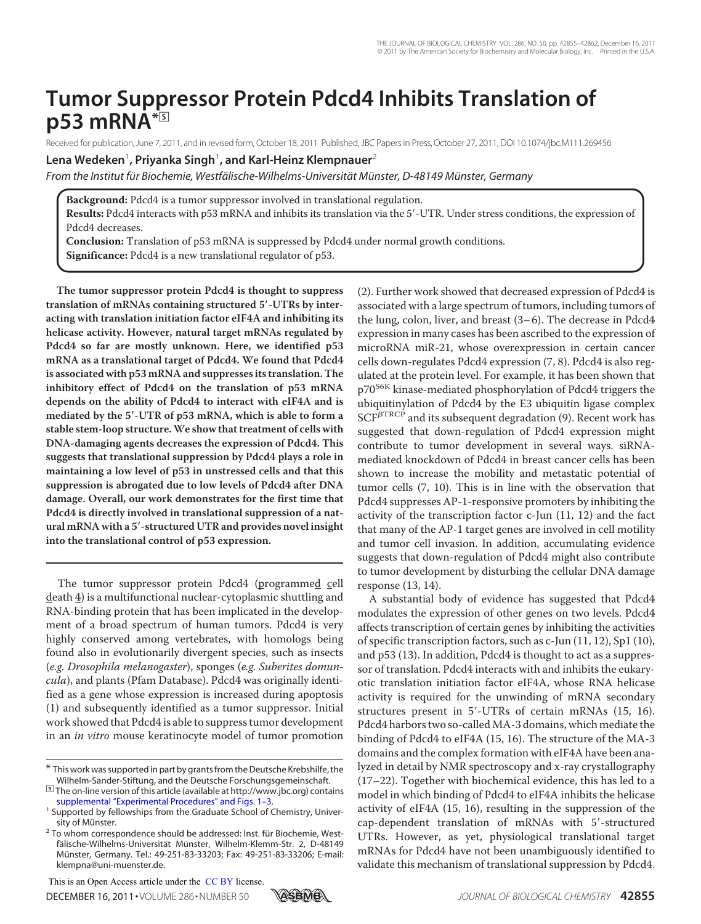# **Tumor Suppressor Protein Pdcd4 Inhibits Translation of p53 mRNA\***□**<sup>S</sup>**

Received for publication, June 7, 2011, and in revised form, October 18, 2011 Published, JBC Papers in Press, October 27, 2011, DOI 10.1074/jbc.M111.269456

# $\epsilon$ Lena Wedeken<sup>1</sup>, Priyanka Singh<sup>1</sup>, and Karl-Heinz Klempnauer<sup>2</sup>

*From the Institut für Biochemie, Westfälische-Wilhelms-Universität Münster, D-48149 Münster, Germany*

**Background:** Pdcd4 is a tumor suppressor involved in translational regulation.

Results: Pdcd4 interacts with p53 mRNA and inhibits its translation via the 5'-UTR. Under stress conditions, the expression of Pdcd4 decreases.

**Conclusion:** Translation of p53 mRNA is suppressed by Pdcd4 under normal growth conditions. **Significance:** Pdcd4 is a new translational regulator of p53.

**The tumor suppressor protein Pdcd4 is thought to suppress translation of mRNAs containing structured 5**-**-UTRs by interacting with translation initiation factor eIF4A and inhibiting its helicase activity. However, natural target mRNAs regulated by Pdcd4 so far are mostly unknown. Here, we identified p53 mRNA as a translational target of Pdcd4. We found that Pdcd4 is associated with p53 mRNA and suppresses its translation. The inhibitory effect of Pdcd4 on the translation of p53 mRNA depends on the ability of Pdcd4 to interact with eIF4A and is mediated by the 5**-**-UTR of p53 mRNA, which is able to form a stable stem-loop structure.We show that treatment of cells with DNA-damaging agents decreases the expression of Pdcd4. This suggests that translational suppression by Pdcd4 plays a role in maintaining a low level of p53 in unstressed cells and that this suppression is abrogated due to low levels of Pdcd4 after DNA damage. Overall, our work demonstrates for the first time that Pdcd4 is directly involved in translational suppression of a natural mRNA with a 5**-**-structured UTR and provides novel insight into the translational control of p53 expression.**

The tumor suppressor protein Pdcd4 (programmed cell death 4) is a multifunctional nuclear-cytoplasmic shuttling and RNA-binding protein that has been implicated in the development of a broad spectrum of human tumors. Pdcd4 is very highly conserved among vertebrates, with homologs being found also in evolutionarily divergent species, such as insects (e.g. Drosophila melanogaster), sponges (e.g. Suberites domuncula), and plants (Pfam Database). Pdcd4 was originally identified as a gene whose expression is increased during apoptosis (1) and subsequently identified as a tumor suppressor. Initial work showed that Pdcd4 is able to suppress tumor development in an in vitro mouse keratinocyte model of tumor promotion

This is an Open Access article under the CC BY license.



(2). Further work showed that decreased expression of Pdcd4 is associated with a large spectrum of tumors, including tumors of the lung, colon, liver, and breast  $(3-6)$ . The decrease in Pdcd4 expression in many cases has been ascribed to the expression of microRNA miR-21, whose overexpression in certain cancer cells down-regulates Pdcd4 expression (7, 8). Pdcd4 is also regulated at the protein level. For example, it has been shown that p70<sup>S6K</sup> kinase-mediated phosphorylation of Pdcd4 triggers the ubiquitinylation of Pdcd4 by the E3 ubiquitin ligase complex  $SCF<sup>BTRCP</sup>$  and its subsequent degradation (9). Recent work has suggested that down-regulation of Pdcd4 expression might contribute to tumor development in several ways. siRNAmediated knockdown of Pdcd4 in breast cancer cells has been shown to increase the mobility and metastatic potential of tumor cells (7, 10). This is in line with the observation that Pdcd4 suppresses AP-1-responsive promoters by inhibiting the activity of the transcription factor c-Jun (11, 12) and the fact that many of the AP-1 target genes are involved in cell motility and tumor cell invasion. In addition, accumulating evidence suggests that down-regulation of Pdcd4 might also contribute to tumor development by disturbing the cellular DNA damage response (13, 14).

A substantial body of evidence has suggested that Pdcd4 modulates the expression of other genes on two levels. Pdcd4 affects transcription of certain genes by inhibiting the activities of specific transcription factors, such as c-Jun (11, 12), Sp1 (10), and p53 (13). In addition, Pdcd4 is thought to act as a suppressor of translation. Pdcd4 interacts with and inhibits the eukaryotic translation initiation factor eIF4A, whose RNA helicase activity is required for the unwinding of mRNA secondary structures present in 5'-UTRs of certain mRNAs (15, 16). Pdcd4 harbors two so-called MA-3 domains, which mediate the binding of Pdcd4 to eIF4A (15, 16). The structure of the MA-3 domains and the complex formation with eIF4A have been analyzed in detail by NMR spectroscopy and x-ray crystallography (17–22). Together with biochemical evidence, this has led to a model in which binding of Pdcd4 to eIF4A inhibits the helicase activity of eIF4A (15, 16), resulting in the suppression of the cap-dependent translation of mRNAs with 5'-structured UTRs. However, as yet, physiological translational target mRNAs for Pdcd4 have not been unambiguously identified to validate this mechanism of translational suppression by Pdcd4.

<sup>\*</sup> This work was supported in part by grants from the Deutsche Krebshilfe, the Wilhelm-Sander-Stiftung, and the Deutsche Forschungsgemeinschaft.

<sup>□</sup>**S** The on-line version of this article (available at http://www.jbc.org) contains supplemental "Experimental Procedures" and Figs. 1–3.

<sup>&</sup>lt;sup>1</sup> Supported by fellowships from the Graduate School of Chemistry, University of Münster.

<sup>&</sup>lt;sup>2</sup> To whom correspondence should be addressed: Inst. für Biochemie, Westfälische-Wilhelms-Universität Münster, Wilhelm-Klemm-Str. 2, D-48149 Münster, Germany. Tel.: 49-251-83-33203; Fax: 49-251-83-33206; E-mail: klempna@uni-muenster.de.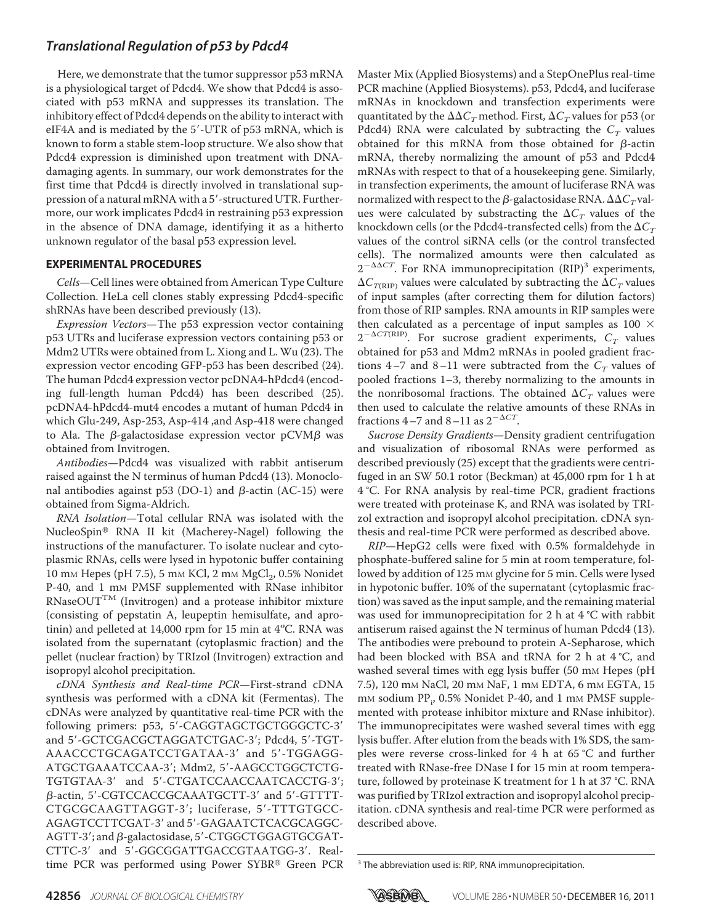Here, we demonstrate that the tumor suppressor p53 mRNA is a physiological target of Pdcd4. We show that Pdcd4 is associated with p53 mRNA and suppresses its translation. The inhibitory effect of Pdcd4 depends on the ability to interact with eIF4A and is mediated by the 5'-UTR of p53 mRNA, which is known to form a stable stem-loop structure. We also show that Pdcd4 expression is diminished upon treatment with DNAdamaging agents. In summary, our work demonstrates for the first time that Pdcd4 is directly involved in translational suppression of a natural mRNA with a 5'-structured UTR. Furthermore, our work implicates Pdcd4 in restraining p53 expression in the absence of DNA damage, identifying it as a hitherto unknown regulator of the basal p53 expression level.

#### **EXPERIMENTAL PROCEDURES**

Cells—Cell lines were obtained from American Type Culture Collection. HeLa cell clones stably expressing Pdcd4-specific shRNAs have been described previously (13).

Expression Vectors—The p53 expression vector containing p53 UTRs and luciferase expression vectors containing p53 or Mdm2 UTRs were obtained from L. Xiong and L. Wu (23). The expression vector encoding GFP-p53 has been described (24). The human Pdcd4 expression vector pcDNA4-hPdcd4 (encoding full-length human Pdcd4) has been described (25). pcDNA4-hPdcd4-mut4 encodes a mutant of human Pdcd4 in which Glu-249, Asp-253, Asp-414 ,and Asp-418 were changed to Ala. The  $\beta$ -galactosidase expression vector pCVM $\beta$  was obtained from Invitrogen.

Antibodies—Pdcd4 was visualized with rabbit antiserum raised against the N terminus of human Pdcd4 (13). Monoclonal antibodies against p53 (DO-1) and  $\beta$ -actin (AC-15) were obtained from Sigma-Aldrich.

RNA Isolation—Total cellular RNA was isolated with the NucleoSpin® RNA II kit (Macherey-Nagel) following the instructions of the manufacturer. To isolate nuclear and cytoplasmic RNAs, cells were lysed in hypotonic buffer containing  $10 \text{ mm}$  Hepes (pH 7.5), 5 mm KCl, 2 mm  $\text{MgCl}_2$ , 0.5% Nonidet P-40, and 1 mM PMSF supplemented with RNase inhibitor RNaseOUT<sup>TM</sup> (Invitrogen) and a protease inhibitor mixture (consisting of pepstatin A, leupeptin hemisulfate, and aprotinin) and pelleted at 14,000 rpm for 15 min at 4°C. RNA was isolated from the supernatant (cytoplasmic fraction) and the pellet (nuclear fraction) by TRIzol (Invitrogen) extraction and isopropyl alcohol precipitation.

cDNA Synthesis and Real-time PCR—First-strand cDNA synthesis was performed with a cDNA kit (Fermentas). The cDNAs were analyzed by quantitative real-time PCR with the following primers: p53, 5'-CAGGTAGCTGCTGGGCTC-3' and 5'-GCTCGACGCTAGGATCTGAC-3'; Pdcd4, 5'-TGT-AAACCCTGCAGATCCTGATAA-3' and 5'-TGGAGG-ATGCTGAAATCCAA-3; Mdm2, 5-AAGCCTGGCTCTG-TGTGTAA-3' and 5'-CTGATCCAACCAATCACCTG-3';  $\beta$ -actin, 5'-CGTCCACCGCAAATGCTT-3' and 5'-GTTTT-CTGCGCAAGTTAGGT-3; luciferase, 5-TTTGTGCC-AGAGTCCTTCGAT-3' and 5'-GAGAATCTCACGCAGGC- $AGTT-3'$ ; and  $\beta$ -galactosidase, 5'-CTGGCTGGAGTGCGAT-CTTC-3' and 5'-GGCGGATTGACCGTAATGG-3'. Realtime PCR was performed using Power SYBR® Green PCR Master Mix (Applied Biosystems) and a StepOnePlus real-time PCR machine (Applied Biosystems). p53, Pdcd4, and luciferase mRNAs in knockdown and transfection experiments were quantitated by the  $\Delta \Delta C_{T}$  method. First,  $\Delta C_{T}$  values for <code>p53</code> (or Pdcd4) RNA were calculated by subtracting the  $C_{\scriptscriptstyle T}$  values obtained for this mRNA from those obtained for  $\beta$ -actin mRNA, thereby normalizing the amount of p53 and Pdcd4 mRNAs with respect to that of a housekeeping gene. Similarly, in transfection experiments, the amount of luciferase RNA was normalized with respect to the  $\beta$ -galactosidase RNA.  $\Delta \Delta C_{T}$ values were calculated by substracting the  $\Delta C_T$  values of the knockdown cells (or the Pdcd4-transfected cells) from the  $\Delta C_T$ values of the control siRNA cells (or the control transfected cells). The normalized amounts were then calculated as  $2^{-\Delta\Delta CT}$ . For RNA immunoprecipitation (RIP)<sup>3</sup> experiments,  $\Delta C_{T(\mathrm{RIP})}$  values were calculated by subtracting the  $\Delta C_{T}$  values of input samples (after correcting them for dilution factors) from those of RIP samples. RNA amounts in RIP samples were then calculated as a percentage of input samples as 100  $\times$  $2^{-\Delta CT(RIP)}$ . For sucrose gradient experiments,  $C_T$  values obtained for p53 and Mdm2 mRNAs in pooled gradient fractions 4–7 and 8–11 were subtracted from the  $C_T$  values of pooled fractions 1–3, thereby normalizing to the amounts in the nonribosomal fractions. The obtained  $\Delta C_T$  values were then used to calculate the relative amounts of these RNAs in fractions 4–7 and 8–11 as  $2^{-\Delta CT}$ .

Sucrose Density Gradients—Density gradient centrifugation and visualization of ribosomal RNAs were performed as described previously (25) except that the gradients were centrifuged in an SW 50.1 rotor (Beckman) at 45,000 rpm for 1 h at 4 °C. For RNA analysis by real-time PCR, gradient fractions were treated with proteinase K, and RNA was isolated by TRIzol extraction and isopropyl alcohol precipitation. cDNA synthesis and real-time PCR were performed as described above.

RIP—HepG2 cells were fixed with 0.5% formaldehyde in phosphate-buffered saline for 5 min at room temperature, followed by addition of 125 mm glycine for 5 min. Cells were lysed in hypotonic buffer. 10% of the supernatant (cytoplasmic fraction) was saved as the input sample, and the remaining material was used for immunoprecipitation for 2 h at 4 °C with rabbit antiserum raised against the N terminus of human Pdcd4 (13). The antibodies were prebound to protein A-Sepharose, which had been blocked with BSA and tRNA for 2 h at 4 °C, and washed several times with egg lysis buffer (50 mm Hepes (pH) 7.5), 120 mM NaCl, 20 mM NaF, 1 mM EDTA, 6 mM EGTA, 15 mm sodium PP<sub>i</sub>, 0.5% Nonidet P-40, and 1 mm PMSF supplemented with protease inhibitor mixture and RNase inhibitor). The immunoprecipitates were washed several times with egg lysis buffer. After elution from the beads with 1% SDS, the samples were reverse cross-linked for 4 h at 65 °C and further treated with RNase-free DNase I for 15 min at room temperature, followed by proteinase K treatment for 1 h at 37 °C. RNA was purified by TRIzol extraction and isopropyl alcohol precipitation. cDNA synthesis and real-time PCR were performed as described above.



<sup>&</sup>lt;sup>3</sup> The abbreviation used is: RIP, RNA immunoprecipitation.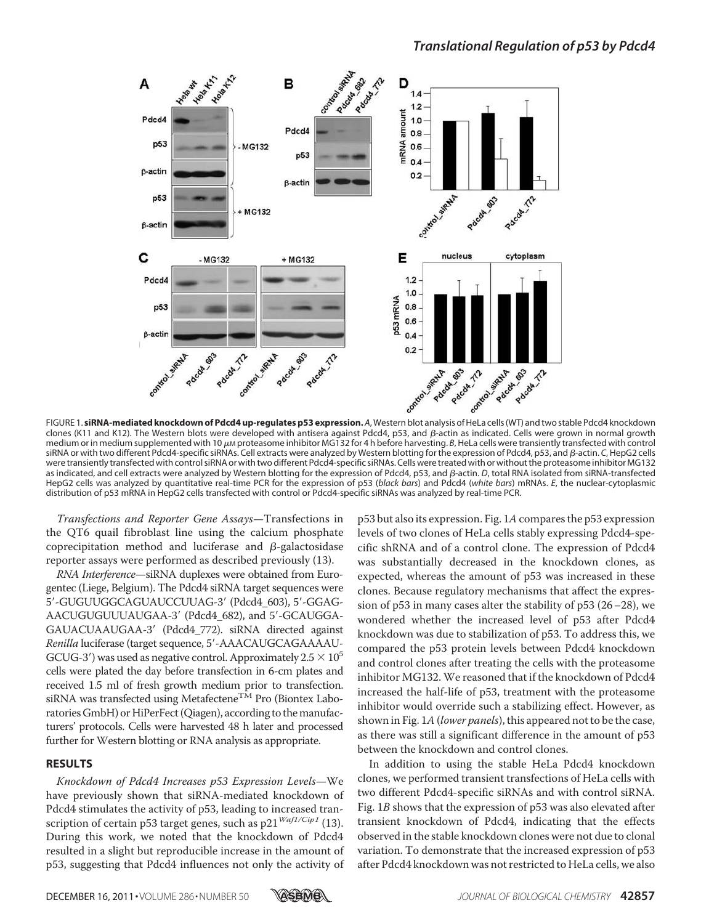

clones (K11 and K12). The Western blots were developed with antisera against Pdcd4, p53, and  $\beta$ -actin as indicated. Cells were grown in normal growth medium or in medium supplemented with 10  $\mu$ M proteasome inhibitor MG132 for 4 h before harvesting. *B*, HeLa cells were transiently transfected with control siRNA or with two different Pdcd4-specific siRNAs. Cell extracts were analyzed by Western blotting for the expression of Pdcd4, p53, and  $\beta$ -actin. *C*, HepG2 cells were transiently transfected with control siRNA or with two different Pdcd4-specific siRNAs. Cells were treated with or without the proteasome inhibitor MG132 as indicated, and cell extracts were analyzed by Western blotting for the expression of Pdcd4, p53, and  $\beta$ -actin. *D*, total RNA isolated from siRNA-transfected HepG2 cells was analyzed by quantitative real-time PCR for the expression of p53 (*black bars*) and Pdcd4 (*white bars*) mRNAs. *E*, the nuclear-cytoplasmic distribution of p53 mRNA in HepG2 cells transfected with control or Pdcd4-specific siRNAs was analyzed by real-time PCR.

Transfections and Reporter Gene Assays—Transfections in the QT6 quail fibroblast line using the calcium phosphate coprecipitation method and luciferase and  $\beta$ -galactosidase reporter assays were performed as described previously (13).

RNA Interference—siRNA duplexes were obtained from Eurogentec (Liege, Belgium). The Pdcd4 siRNA target sequences were 5'-GUGUUGGCAGUAUCCUUAG-3' (Pdcd4\_603), 5'-GGAG-AACUGUGUUUAUGAA-3' (Pdcd4\_682), and 5'-GCAUGGA-GAUACUAAUGAA-3 (Pdcd4\_772). siRNA directed against Renilla luciferase (target sequence, 5'-AAACAUGCAGAAAAU-GCUG-3') was used as negative control. Approximately  $2.5 \times 10^5$ cells were plated the day before transfection in 6-cm plates and received 1.5 ml of fresh growth medium prior to transfection. siRNA was transfected using Metafectene<sup>TM</sup> Pro (Biontex Laboratories GmbH) or HiPerFect (Qiagen), according to the manufacturers' protocols. Cells were harvested 48 h later and processed further for Western blotting or RNA analysis as appropriate.

#### **RESULTS**

Knockdown of Pdcd4 Increases p53 Expression Levels—We have previously shown that siRNA-mediated knockdown of Pdcd4 stimulates the activity of p53, leading to increased transcription of certain p53 target genes, such as p21 $\frac{Waf1/Cip1}{P(13)}$ . During this work, we noted that the knockdown of Pdcd4 resulted in a slight but reproducible increase in the amount of p53, suggesting that Pdcd4 influences not only the activity of

p53 but also its expression. Fig. 1Acompares the p53 expression levels of two clones of HeLa cells stably expressing Pdcd4-specific shRNA and of a control clone. The expression of Pdcd4 was substantially decreased in the knockdown clones, as expected, whereas the amount of p53 was increased in these clones. Because regulatory mechanisms that affect the expression of p53 in many cases alter the stability of p53 (26–28), we wondered whether the increased level of p53 after Pdcd4 knockdown was due to stabilization of p53. To address this, we compared the p53 protein levels between Pdcd4 knockdown and control clones after treating the cells with the proteasome inhibitor MG132. We reasoned that if the knockdown of Pdcd4 increased the half-life of p53, treatment with the proteasome inhibitor would override such a stabilizing effect. However, as shown in Fig. 1A (lower panels), this appeared not to be the case, as there was still a significant difference in the amount of p53 between the knockdown and control clones.

In addition to using the stable HeLa Pdcd4 knockdown clones, we performed transient transfections of HeLa cells with two different Pdcd4-specific siRNAs and with control siRNA. Fig. 1B shows that the expression of p53 was also elevated after transient knockdown of Pdcd4, indicating that the effects observed in the stable knockdown clones were not due to clonal variation. To demonstrate that the increased expression of p53 after Pdcd4 knockdown was not restricted to HeLa cells, we also

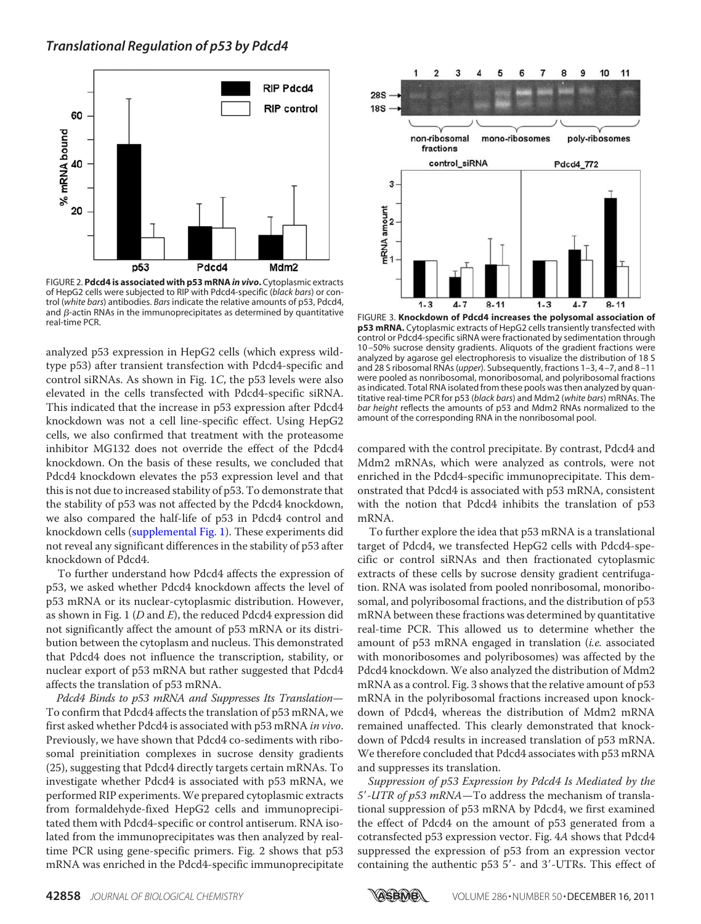

FIGURE 2. **Pdcd4 is associated with p53 mRNA***in vivo***.** Cytoplasmic extracts of HepG2 cells were subjected to RIP with Pdcd4-specific (*black bars*) or control (*white bars*) antibodies. *Bars* indicate the relative amounts of p53, Pdcd4, and  $\beta$ -actin RNAs in the immunoprecipitates as determined by quantitative real-time PCR.

analyzed p53 expression in HepG2 cells (which express wildtype p53) after transient transfection with Pdcd4-specific and control siRNAs. As shown in Fig. 1C, the p53 levels were also elevated in the cells transfected with Pdcd4-specific siRNA. This indicated that the increase in p53 expression after Pdcd4 knockdown was not a cell line-specific effect. Using HepG2 cells, we also confirmed that treatment with the proteasome inhibitor MG132 does not override the effect of the Pdcd4 knockdown. On the basis of these results, we concluded that Pdcd4 knockdown elevates the p53 expression level and that this is not due to increased stability of p53. To demonstrate that the stability of p53 was not affected by the Pdcd4 knockdown, we also compared the half-life of p53 in Pdcd4 control and knockdown cells (supplemental Fig. 1). These experiments did not reveal any significant differences in the stability of p53 after knockdown of Pdcd4.

To further understand how Pdcd4 affects the expression of p53, we asked whether Pdcd4 knockdown affects the level of p53 mRNA or its nuclear-cytoplasmic distribution. However, as shown in Fig. 1 ( $D$  and  $E$ ), the reduced Pdcd4 expression did not significantly affect the amount of p53 mRNA or its distribution between the cytoplasm and nucleus. This demonstrated that Pdcd4 does not influence the transcription, stability, or nuclear export of p53 mRNA but rather suggested that Pdcd4 affects the translation of p53 mRNA.

Pdcd4 Binds to p53 mRNA and Suppresses Its Translation— To confirm that Pdcd4 affects the translation of p53 mRNA, we first asked whether Pdcd4 is associated with p53 mRNA in vivo. Previously, we have shown that Pdcd4 co-sediments with ribosomal preinitiation complexes in sucrose density gradients (25), suggesting that Pdcd4 directly targets certain mRNAs. To investigate whether Pdcd4 is associated with p53 mRNA, we performed RIP experiments. We prepared cytoplasmic extracts from formaldehyde-fixed HepG2 cells and immunoprecipitated them with Pdcd4-specific or control antiserum. RNA isolated from the immunoprecipitates was then analyzed by realtime PCR using gene-specific primers. Fig. 2 shows that p53 mRNA was enriched in the Pdcd4-specific immunoprecipitate



FIGURE 3. Knockdown of Pdcd4 increases the polysomal association of **p53 mRNA.** Cytoplasmic extracts of HepG2 cells transiently transfected with control or Pdcd4-specific siRNA were fractionated by sedimentation through 10 –50% sucrose density gradients. Aliquots of the gradient fractions were analyzed by agarose gel electrophoresis to visualize the distribution of 18 S and 28 S ribosomal RNAs (*upper*). Subsequently, fractions 1–3, 4 –7, and 8 –11 were pooled as nonribosomal, monoribosomal, and polyribosomal fractions as indicated. Total RNA isolated from these pools was then analyzed by quantitative real-time PCR for p53 (*black bars*) and Mdm2 (*white bars*) mRNAs. The *bar height* reflects the amounts of p53 and Mdm2 RNAs normalized to the amount of the corresponding RNA in the nonribosomal pool.

compared with the control precipitate. By contrast, Pdcd4 and Mdm2 mRNAs, which were analyzed as controls, were not enriched in the Pdcd4-specific immunoprecipitate. This demonstrated that Pdcd4 is associated with p53 mRNA, consistent with the notion that Pdcd4 inhibits the translation of p53 mRNA.

To further explore the idea that p53 mRNA is a translational target of Pdcd4, we transfected HepG2 cells with Pdcd4-specific or control siRNAs and then fractionated cytoplasmic extracts of these cells by sucrose density gradient centrifugation. RNA was isolated from pooled nonribosomal, monoribosomal, and polyribosomal fractions, and the distribution of p53 mRNA between these fractions was determined by quantitative real-time PCR. This allowed us to determine whether the amount of p53 mRNA engaged in translation *(i.e.* associated with monoribosomes and polyribosomes) was affected by the Pdcd4 knockdown. We also analyzed the distribution of Mdm2 mRNA as a control. Fig. 3 shows that the relative amount of p53 mRNA in the polyribosomal fractions increased upon knockdown of Pdcd4, whereas the distribution of Mdm2 mRNA remained unaffected. This clearly demonstrated that knockdown of Pdcd4 results in increased translation of p53 mRNA. We therefore concluded that Pdcd4 associates with p53 mRNA and suppresses its translation.

Suppression of p53 Expression by Pdcd4 Is Mediated by the 5'-UTR of p53 mRNA-To address the mechanism of translational suppression of p53 mRNA by Pdcd4, we first examined the effect of Pdcd4 on the amount of p53 generated from a cotransfected p53 expression vector. Fig. 4A shows that Pdcd4 suppressed the expression of p53 from an expression vector containing the authentic p53 5'- and 3'-UTRs. This effect of

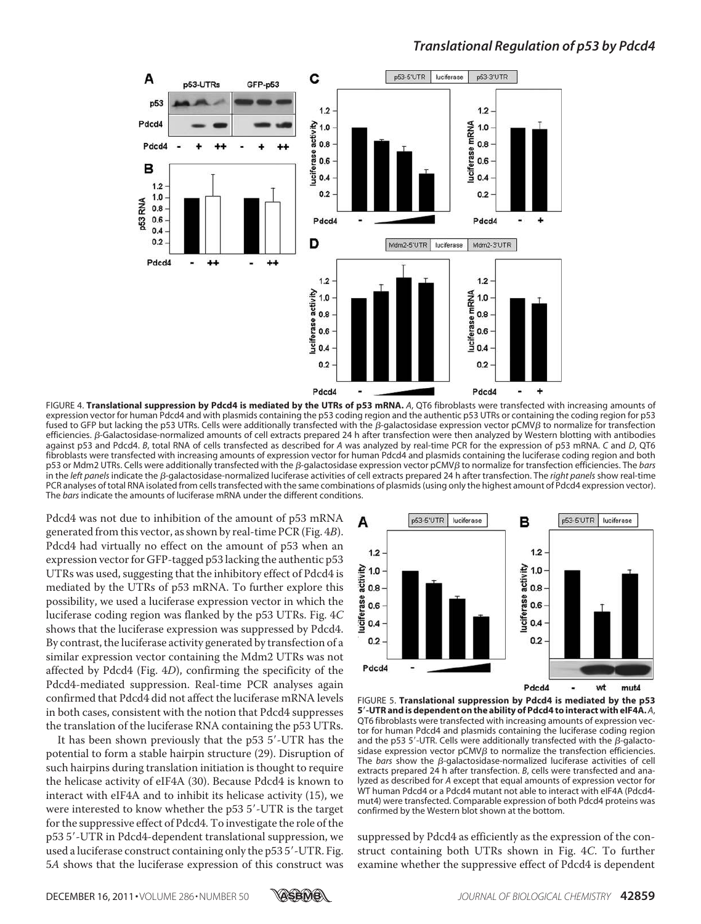

FIGURE 4. **Translational suppression by Pdcd4 is mediated by the UTRs of p53 mRNA.** *A*, QT6 fibroblasts were transfected with increasing amounts of expression vector for human Pdcd4 and with plasmids containing the p53 coding region and the authentic p53 UTRs or containing the coding region for p53 fused to GFP but lacking the p53 UTRs. Cells were additionally transfected with the  $\beta$ -galactosidase expression vector pCMV $\beta$  to normalize for transfection efficiencies. B-Galactosidase-normalized amounts of cell extracts prepared 24 h after transfection were then analyzed by Western blotting with antibodies against p53 and Pdcd4. *B*, total RNA of cells transfected as described for *A* was analyzed by real-time PCR for the expression of p53 mRNA. *C* and *D*, QT6 fibroblasts were transfected with increasing amounts of expression vector for human Pdcd4 and plasmids containing the luciferase coding region and both p53 or Mdm2 UTRs. Cells were additionally transfected with the β-galactosidase expression vector pCMVβ to normalize for transfection efficiencies. The *bars* in the *left panels* indicate the  $\beta$ -galactosidase-normalized luciferase activities of cell extracts prepared 24 h after transfection. The *right panels* show real-time PCR analyses of total RNA isolated from cells transfected with the same combinations of plasmids (using only the highest amount of Pdcd4 expression vector). The *bars* indicate the amounts of luciferase mRNA under the different conditions.

Pdcd4 was not due to inhibition of the amount of p53 mRNA generated from this vector, as shown by real-time PCR (Fig. 4B). Pdcd4 had virtually no effect on the amount of p53 when an expression vector for GFP-tagged p53 lacking the authentic p53 UTRs was used, suggesting that the inhibitory effect of Pdcd4 is mediated by the UTRs of p53 mRNA. To further explore this possibility, we used a luciferase expression vector in which the luciferase coding region was flanked by the p53 UTRs. Fig. 4C shows that the luciferase expression was suppressed by Pdcd4. By contrast, the luciferase activity generated by transfection of a similar expression vector containing the Mdm2 UTRs was not affected by Pdcd4 (Fig. 4D), confirming the specificity of the Pdcd4-mediated suppression. Real-time PCR analyses again confirmed that Pdcd4 did not affect the luciferase mRNA levels in both cases, consistent with the notion that Pdcd4 suppresses the translation of the luciferase RNA containing the p53 UTRs.

It has been shown previously that the p53 5'-UTR has the potential to form a stable hairpin structure (29). Disruption of such hairpins during translation initiation is thought to require the helicase activity of eIF4A (30). Because Pdcd4 is known to interact with eIF4A and to inhibit its helicase activity (15), we were interested to know whether the p53 5'-UTR is the target for the suppressive effect of Pdcd4. To investigate the role of the p53 5-UTR in Pdcd4-dependent translational suppression, we used a luciferase construct containing only the p53 5'-UTR. Fig. 5A shows that the luciferase expression of this construct was



FIGURE 5. **Translational suppression by Pdcd4 is mediated by the p53 5**-**-UTR and is dependent on the ability of Pdcd4 to interact with eIF4A.** *A*, QT6 fibroblasts were transfected with increasing amounts of expression vector for human Pdcd4 and plasmids containing the luciferase coding region and the p53 5'-UTR. Cells were additionally transfected with the  $\beta$ -galactosidase expression vector  $pCMV\beta$  to normalize the transfection efficiencies. The *bars* show the  $\beta$ -galactosidase-normalized luciferase activities of cell extracts prepared 24 h after transfection. *B*, cells were transfected and analyzed as described for *A* except that equal amounts of expression vector for WT human Pdcd4 or a Pdcd4 mutant not able to interact with eIF4A (Pdcd4 mut4) were transfected. Comparable expression of both Pdcd4 proteins was confirmed by the Western blot shown at the bottom.

suppressed by Pdcd4 as efficiently as the expression of the construct containing both UTRs shown in Fig. 4C. To further examine whether the suppressive effect of Pdcd4 is dependent

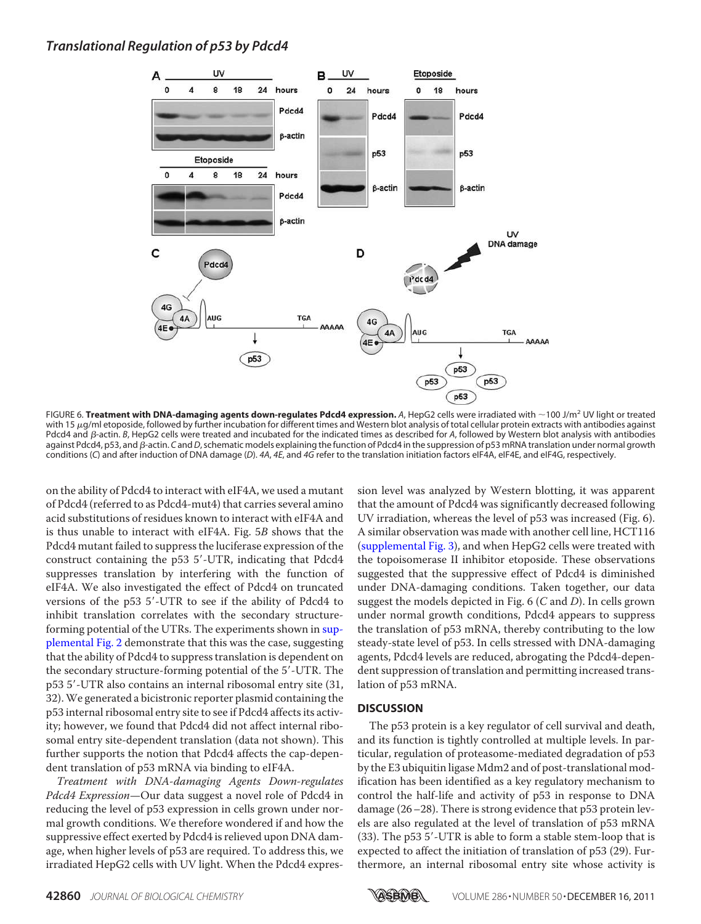

FIGURE 6. **Treatment with DNA-damaging agents down-regulates Pdcd4 expression.** *A*, HepG2 cells were irradiated with 100 J/m<sup>2</sup> UV light or treated with 15 µg/ml etoposide, followed by further incubation for different times and Western blot analysis of total cellular protein extracts with antibodies against Pdcd4 and  $\beta$ -actin. *B*, HepG2 cells were treated and incubated for the indicated times as described for *A*, followed by Western blot analysis with antibodies against Pdcd4, p53, and *β*-actin. *C* and *D*, schematic models explaining the function of Pdcd4 in the suppression of p53 mRNA translation under normal growth conditions (*C*) and after induction of DNA damage (*D*). *4A*, *4E*, and *4G* refer to the translation initiation factors eIF4A, eIF4E, and eIF4G, respectively.

on the ability of Pdcd4 to interact with eIF4A, we used a mutant of Pdcd4 (referred to as Pdcd4-mut4) that carries several amino acid substitutions of residues known to interact with eIF4A and is thus unable to interact with eIF4A. Fig. 5B shows that the Pdcd4 mutant failed to suppress the luciferase expression of the construct containing the p53 5-UTR, indicating that Pdcd4 suppresses translation by interfering with the function of eIF4A. We also investigated the effect of Pdcd4 on truncated versions of the p53 5-UTR to see if the ability of Pdcd4 to inhibit translation correlates with the secondary structureforming potential of the UTRs. The experiments shown in supplemental Fig. 2 demonstrate that this was the case, suggesting that the ability of Pdcd4 to suppress translation is dependent on the secondary structure-forming potential of the 5-UTR. The p53 5'-UTR also contains an internal ribosomal entry site (31, 32).We generated a bicistronic reporter plasmid containing the p53 internal ribosomal entry site to see if Pdcd4 affects its activity; however, we found that Pdcd4 did not affect internal ribosomal entry site-dependent translation (data not shown). This further supports the notion that Pdcd4 affects the cap-dependent translation of p53 mRNA via binding to eIF4A.

Treatment with DNA-damaging Agents Down-regulates Pdcd4 Expression—Our data suggest a novel role of Pdcd4 in reducing the level of p53 expression in cells grown under normal growth conditions. We therefore wondered if and how the suppressive effect exerted by Pdcd4 is relieved upon DNA damage, when higher levels of p53 are required. To address this, we irradiated HepG2 cells with UV light. When the Pdcd4 expression level was analyzed by Western blotting, it was apparent that the amount of Pdcd4 was significantly decreased following UV irradiation, whereas the level of p53 was increased (Fig. 6). A similar observation was made with another cell line, HCT116 (supplemental Fig. 3), and when HepG2 cells were treated with the topoisomerase II inhibitor etoposide. These observations suggested that the suppressive effect of Pdcd4 is diminished under DNA-damaging conditions. Taken together, our data suggest the models depicted in Fig.  $6$  (C and D). In cells grown under normal growth conditions, Pdcd4 appears to suppress the translation of p53 mRNA, thereby contributing to the low steady-state level of p53. In cells stressed with DNA-damaging agents, Pdcd4 levels are reduced, abrogating the Pdcd4-dependent suppression of translation and permitting increased translation of p53 mRNA.

#### **DISCUSSION**

The p53 protein is a key regulator of cell survival and death, and its function is tightly controlled at multiple levels. In particular, regulation of proteasome-mediated degradation of p53 by the E3 ubiquitin ligase Mdm2 and of post-translational modification has been identified as a key regulatory mechanism to control the half-life and activity of p53 in response to DNA damage (26–28). There is strong evidence that p53 protein levels are also regulated at the level of translation of p53 mRNA (33). The p53 5'-UTR is able to form a stable stem-loop that is expected to affect the initiation of translation of p53 (29). Furthermore, an internal ribosomal entry site whose activity is

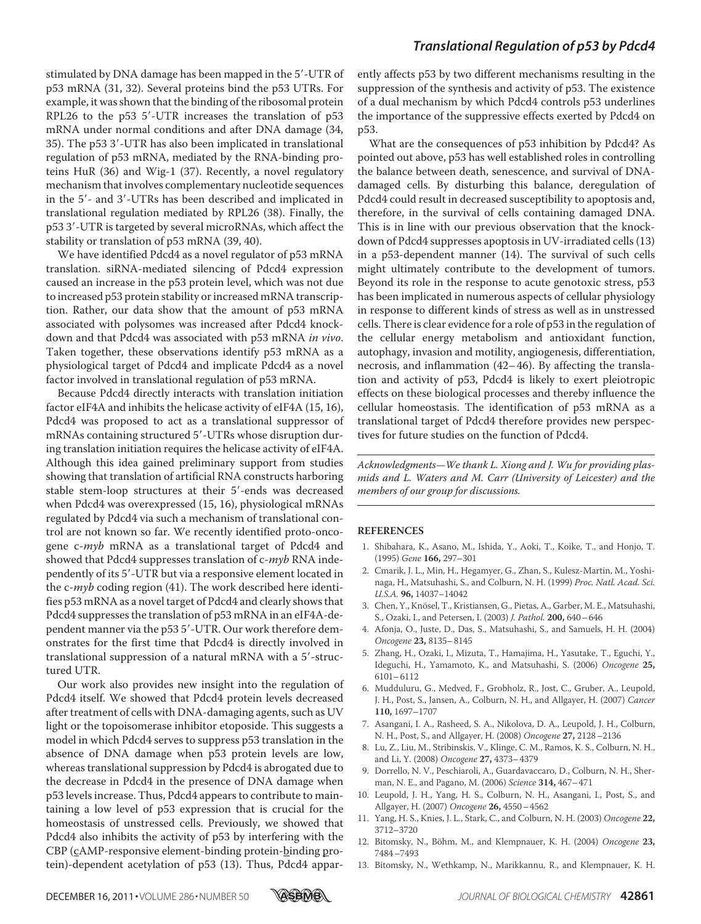stimulated by DNA damage has been mapped in the 5'-UTR of p53 mRNA (31, 32). Several proteins bind the p53 UTRs. For example, it was shown that the binding of the ribosomal protein RPL26 to the p53 5-UTR increases the translation of p53 mRNA under normal conditions and after DNA damage (34, 35). The p53 3-UTR has also been implicated in translational regulation of p53 mRNA, mediated by the RNA-binding proteins HuR (36) and Wig-1 (37). Recently, a novel regulatory mechanism that involves complementary nucleotide sequences in the 5'- and 3'-UTRs has been described and implicated in translational regulation mediated by RPL26 (38). Finally, the p53 3-UTR is targeted by several microRNAs, which affect the stability or translation of p53 mRNA (39, 40).

We have identified Pdcd4 as a novel regulator of p53 mRNA translation. siRNA-mediated silencing of Pdcd4 expression caused an increase in the p53 protein level, which was not due to increased p53 protein stability or increased mRNA transcription. Rather, our data show that the amount of p53 mRNA associated with polysomes was increased after Pdcd4 knockdown and that Pdcd4 was associated with p53 mRNA in vivo. Taken together, these observations identify p53 mRNA as a physiological target of Pdcd4 and implicate Pdcd4 as a novel factor involved in translational regulation of p53 mRNA.

Because Pdcd4 directly interacts with translation initiation factor eIF4A and inhibits the helicase activity of eIF4A (15, 16), Pdcd4 was proposed to act as a translational suppressor of mRNAs containing structured 5'-UTRs whose disruption during translation initiation requires the helicase activity of eIF4A. Although this idea gained preliminary support from studies showing that translation of artificial RNA constructs harboring stable stem-loop structures at their 5'-ends was decreased when Pdcd4 was overexpressed (15, 16), physiological mRNAs regulated by Pdcd4 via such a mechanism of translational control are not known so far. We recently identified proto-oncogene c-myb mRNA as a translational target of Pdcd4 and showed that Pdcd4 suppresses translation of c-*myb* RNA independently of its 5'-UTR but via a responsive element located in the c-myb coding region (41). The work described here identifies p53 mRNA as a novel target of Pdcd4 and clearly shows that Pdcd4 suppresses the translation of p53 mRNA in an eIF4A-dependent manner via the p53 5'-UTR. Our work therefore demonstrates for the first time that Pdcd4 is directly involved in translational suppression of a natural mRNA with a 5'-structured UTR.

Our work also provides new insight into the regulation of Pdcd4 itself. We showed that Pdcd4 protein levels decreased after treatment of cells with DNA-damaging agents, such as UV light or the topoisomerase inhibitor etoposide. This suggests a model in which Pdcd4 serves to suppress p53 translation in the absence of DNA damage when p53 protein levels are low, whereas translational suppression by Pdcd4 is abrogated due to the decrease in Pdcd4 in the presence of DNA damage when p53 levels increase. Thus, Pdcd4 appears to contribute to maintaining a low level of p53 expression that is crucial for the homeostasis of unstressed cells. Previously, we showed that Pdcd4 also inhibits the activity of p53 by interfering with the CBP (cAMP-responsive element-binding protein-binding protein)-dependent acetylation of p53 (13). Thus, Pdcd4 apparently affects p53 by two different mechanisms resulting in the suppression of the synthesis and activity of p53. The existence of a dual mechanism by which Pdcd4 controls p53 underlines the importance of the suppressive effects exerted by Pdcd4 on p53.

What are the consequences of p53 inhibition by Pdcd4? As pointed out above, p53 has well established roles in controlling the balance between death, senescence, and survival of DNAdamaged cells. By disturbing this balance, deregulation of Pdcd4 could result in decreased susceptibility to apoptosis and, therefore, in the survival of cells containing damaged DNA. This is in line with our previous observation that the knockdown of Pdcd4 suppresses apoptosis in UV-irradiated cells (13) in a p53-dependent manner (14). The survival of such cells might ultimately contribute to the development of tumors. Beyond its role in the response to acute genotoxic stress, p53 has been implicated in numerous aspects of cellular physiology in response to different kinds of stress as well as in unstressed cells. There is clear evidence for a role of p53 in the regulation of the cellular energy metabolism and antioxidant function, autophagy, invasion and motility, angiogenesis, differentiation, necrosis, and inflammation (42– 46). By affecting the translation and activity of p53, Pdcd4 is likely to exert pleiotropic effects on these biological processes and thereby influence the cellular homeostasis. The identification of p53 mRNA as a translational target of Pdcd4 therefore provides new perspectives for future studies on the function of Pdcd4.

Acknowledgments—We thank L. Xiong and J. Wu for providing plasmids and L. Waters and M. Carr (University of Leicester) and the members of our group for discussions.

#### **REFERENCES**

- 1. Shibahara, K., Asano, M., Ishida, Y., Aoki, T., Koike, T., and Honjo, T. (1995) Gene **166,** 297–301
- 2. Cmarik, J. L., Min, H., Hegamyer, G., Zhan, S., Kulesz-Martin, M., Yoshinaga, H., Matsuhashi, S., and Colburn, N. H. (1999) Proc. Natl. Acad. Sci. U.S.A. **96,** 14037–14042
- 3. Chen, Y., Knösel, T., Kristiansen, G., Pietas, A., Garber, M. E., Matsuhashi, S., Ozaki, I., and Petersen, I. (2003) J. Pathol. **200,** 640–646
- 4. Afonja, O., Juste, D., Das, S., Matsuhashi, S., and Samuels, H. H. (2004) Oncogene **23,** 8135–8145
- 5. Zhang, H., Ozaki, I., Mizuta, T., Hamajima, H., Yasutake, T., Eguchi, Y., Ideguchi, H., Yamamoto, K., and Matsuhashi, S. (2006) Oncogene **25,** 6101–6112
- 6. Mudduluru, G., Medved, F., Grobholz, R., Jost, C., Gruber, A., Leupold, J. H., Post, S., Jansen, A., Colburn, N. H., and Allgayer, H. (2007) Cancer **110,** 1697–1707
- 7. Asangani, I. A., Rasheed, S. A., Nikolova, D. A., Leupold, J. H., Colburn, N. H., Post, S., and Allgayer, H. (2008) Oncogene **27,** 2128–2136
- 8. Lu, Z., Liu, M., Stribinskis, V., Klinge, C. M., Ramos, K. S., Colburn, N. H., and Li, Y. (2008) Oncogene **27,** 4373–4379
- 9. Dorrello, N. V., Peschiaroli, A., Guardavaccaro, D., Colburn, N. H., Sherman, N. E., and Pagano, M. (2006) Science **314,** 467–471
- 10. Leupold, J. H., Yang, H. S., Colburn, N. H., Asangani, I., Post, S., and Allgayer, H. (2007) Oncogene **26,** 4550–4562
- 11. Yang, H. S., Knies, J. L., Stark, C., and Colburn, N. H. (2003) Oncogene **22,** 3712–3720
- 12. Bitomsky, N., Böhm, M., and Klempnauer, K. H. (2004) Oncogene **23,** 7484–7493
- 13. Bitomsky, N., Wethkamp, N., Marikkannu, R., and Klempnauer, K. H.